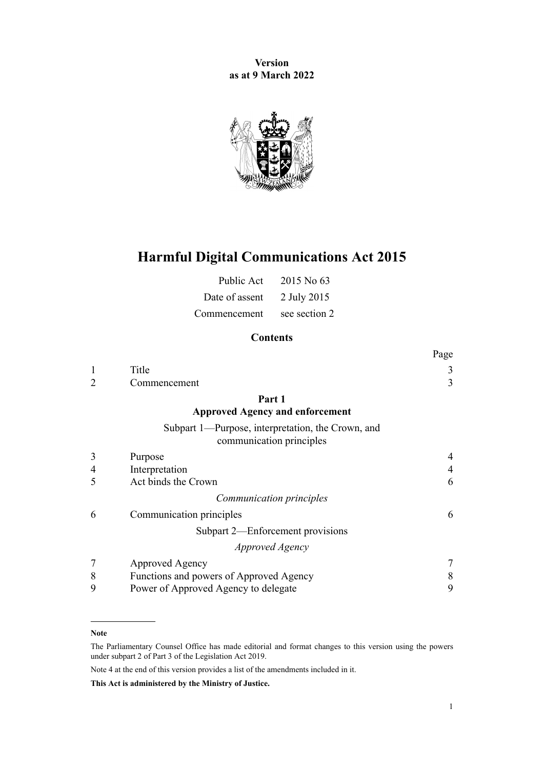**Version as at 9 March 2022**



# **Harmful Digital Communications Act 2015**

| Public Act     | 2015 No 63    |
|----------------|---------------|
| Date of assent | 2 July 2015   |
| Commencement   | see section 2 |

# **Contents**

|                |                                                                               | Page           |
|----------------|-------------------------------------------------------------------------------|----------------|
| 1              | Title                                                                         | 3              |
| $\overline{2}$ | Commencement                                                                  | 3              |
|                | Part 1                                                                        |                |
|                | <b>Approved Agency and enforcement</b>                                        |                |
|                | Subpart 1—Purpose, interpretation, the Crown, and<br>communication principles |                |
| 3              | Purpose                                                                       | 4              |
| 4              | Interpretation                                                                | $\overline{4}$ |
| 5              | Act binds the Crown                                                           | 6              |
|                | Communication principles                                                      |                |
| 6              | Communication principles                                                      | 6              |
|                | Subpart 2—Enforcement provisions                                              |                |
|                | <i>Approved Agency</i>                                                        |                |
|                | Approved Agency                                                               |                |
| 8              | Functions and powers of Approved Agency                                       | 8              |
| 9              | Power of Approved Agency to delegate                                          | 9              |

#### **Note**

The Parliamentary Counsel Office has made editorial and format changes to this version using the powers under [subpart 2](http://legislation.govt.nz/pdflink.aspx?id=DLM7298371) of Part 3 of the Legislation Act 2019.

Note 4 at the end of this version provides a list of the amendments included in it.

**This Act is administered by the Ministry of Justice.**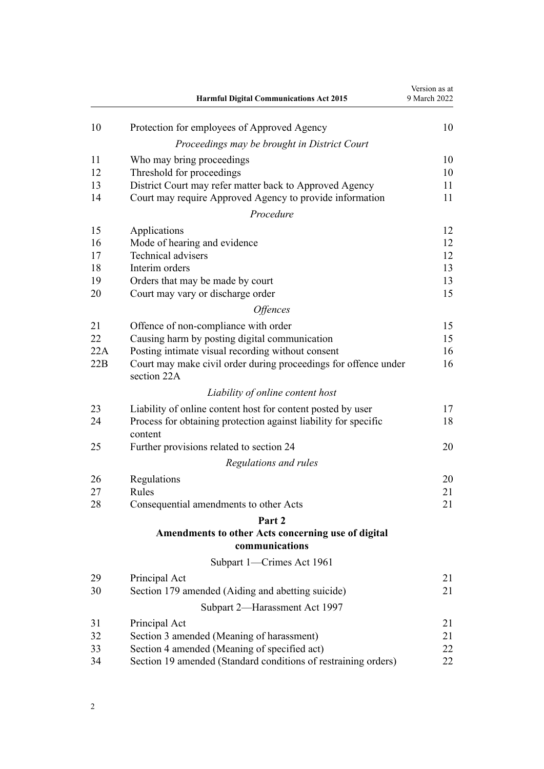|            | <b>Harmful Digital Communications Act 2015</b>                                                                       | Version as at<br>9 March 2022 |
|------------|----------------------------------------------------------------------------------------------------------------------|-------------------------------|
| 10         | Protection for employees of Approved Agency                                                                          | 10                            |
|            | Proceedings may be brought in District Court                                                                         |                               |
| 11         | Who may bring proceedings                                                                                            | 10                            |
| 12         | Threshold for proceedings                                                                                            | 10                            |
| 13         | District Court may refer matter back to Approved Agency                                                              | 11                            |
| 14         | Court may require Approved Agency to provide information                                                             | 11                            |
|            | Procedure                                                                                                            |                               |
| 15         | Applications                                                                                                         | 12                            |
| 16         | Mode of hearing and evidence                                                                                         | 12                            |
| 17         | Technical advisers                                                                                                   | 12                            |
| 18         | Interim orders                                                                                                       | 13                            |
| 19<br>20   | Orders that may be made by court<br>Court may vary or discharge order                                                | 13<br>15                      |
|            | <i><b>Offences</b></i>                                                                                               |                               |
|            |                                                                                                                      |                               |
| 21         | Offence of non-compliance with order                                                                                 | 15                            |
| 22         | Causing harm by posting digital communication                                                                        | 15                            |
| 22A<br>22B | Posting intimate visual recording without consent<br>Court may make civil order during proceedings for offence under | 16<br>16                      |
|            | section 22A                                                                                                          |                               |
|            | Liability of online content host                                                                                     |                               |
| 23         | Liability of online content host for content posted by user                                                          | 17                            |
| 24         | Process for obtaining protection against liability for specific<br>content                                           | 18                            |
| 25         | Further provisions related to section 24                                                                             | 20                            |
|            | Regulations and rules                                                                                                |                               |
| 26         | Regulations                                                                                                          | 20                            |
| 27         | Rules                                                                                                                | 21                            |
| 28         | Consequential amendments to other Acts                                                                               | 21                            |
|            | Part 2                                                                                                               |                               |
|            | Amendments to other Acts concerning use of digital<br>communications                                                 |                               |
|            | Subpart 1-Crimes Act 1961                                                                                            |                               |
| 29         | Principal Act                                                                                                        | 21                            |
| 30         | Section 179 amended (Aiding and abetting suicide)                                                                    | 21                            |
|            | Subpart 2-Harassment Act 1997                                                                                        |                               |
| 31         | Principal Act                                                                                                        | 21                            |
| 32         | Section 3 amended (Meaning of harassment)                                                                            | 21                            |
| 33         | Section 4 amended (Meaning of specified act)                                                                         | 22                            |
| 34         | Section 19 amended (Standard conditions of restraining orders)                                                       | 22                            |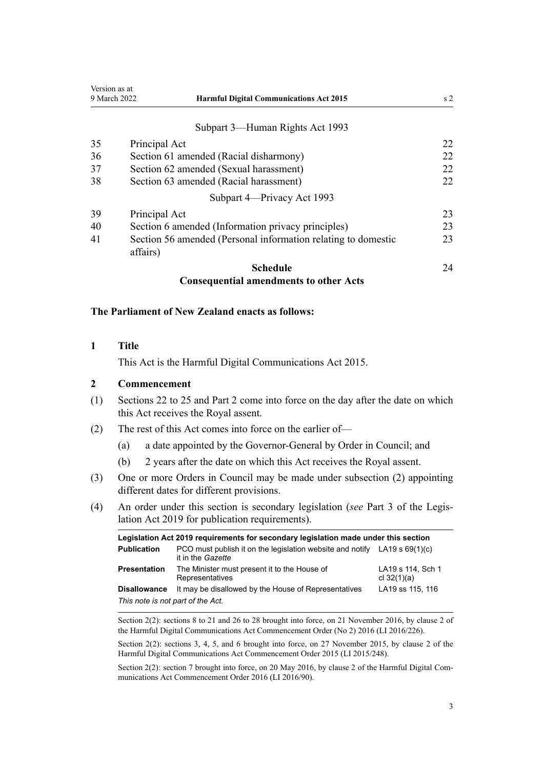<span id="page-2-0"></span>

| Version as at |                                                                           |    |
|---------------|---------------------------------------------------------------------------|----|
|               | 9 March 2022<br><b>Harmful Digital Communications Act 2015</b>            |    |
|               |                                                                           |    |
|               | Subpart 3—Human Rights Act 1993                                           |    |
| 35            | Principal Act                                                             | 22 |
| 36            | Section 61 amended (Racial disharmony)                                    | 22 |
| 37            | Section 62 amended (Sexual harassment)                                    | 22 |
| 38            | Section 63 amended (Racial harassment)                                    | 22 |
|               | Subpart 4—Privacy Act 1993                                                |    |
| 39            | Principal Act                                                             | 23 |
| 40            | Section 6 amended (Information privacy principles)                        | 23 |
| 41            | Section 56 amended (Personal information relating to domestic<br>affairs) | 23 |
|               | <b>Schedule</b>                                                           | 24 |

**[Consequential amendments to other Acts](#page-23-0)**

#### **The Parliament of New Zealand enacts as follows:**

**1 Title**

This Act is the Harmful Digital Communications Act 2015.

#### **2 Commencement**

- (1) [Sections 22 to 25](#page-14-0) and [Part 2](#page-20-0) come into force on the day after the date on which this Act receives the Royal assent.
- (2) The rest of this Act comes into force on the earlier of—
	- (a) a date appointed by the Governor-General by Order in Council; and
	- (b) 2 years after the date on which this Act receives the Royal assent.
- (3) One or more Orders in Council may be made under subsection (2) appointing different dates for different provisions.
- (4) An order under this section is secondary legislation (*see* [Part 3](http://legislation.govt.nz/pdflink.aspx?id=DLM7298343) of the Legis‐ lation Act 2019 for publication requirements).

| Legislation Act 2019 requirements for secondary legislation made under this section |                                                                                                  |                                    |
|-------------------------------------------------------------------------------------|--------------------------------------------------------------------------------------------------|------------------------------------|
| <b>Publication</b>                                                                  | PCO must publish it on the legislation website and notify LA19 s $69(1)(c)$<br>it in the Gazette |                                    |
| <b>Presentation</b>                                                                 | The Minister must present it to the House of<br>Representatives                                  | LA19 s 114, Sch 1<br>cl $32(1)(a)$ |
| <b>Disallowance</b>                                                                 | It may be disallowed by the House of Representatives                                             | LA19 ss 115, 116                   |
| This note is not part of the Act.                                                   |                                                                                                  |                                    |

Section 2(2): sections 8 to 21 and 26 to 28 brought into force, on 21 November 2016, by [clause 2](http://legislation.govt.nz/pdflink.aspx?id=DLM6978428) of the Harmful Digital Communications Act Commencement Order (No 2) 2016 (LI 2016/226).

Section 2(2): sections 3, 4, 5, and 6 brought into force, on 27 November 2015, by [clause 2](http://legislation.govt.nz/pdflink.aspx?id=DLM6626517) of the Harmful Digital Communications Act Commencement Order 2015 (LI 2015/248).

Section 2(2): section 7 brought into force, on 20 May 2016, by [clause 2](http://legislation.govt.nz/pdflink.aspx?id=DLM6800209) of the Harmful Digital Communications Act Commencement Order 2016 (LI 2016/90).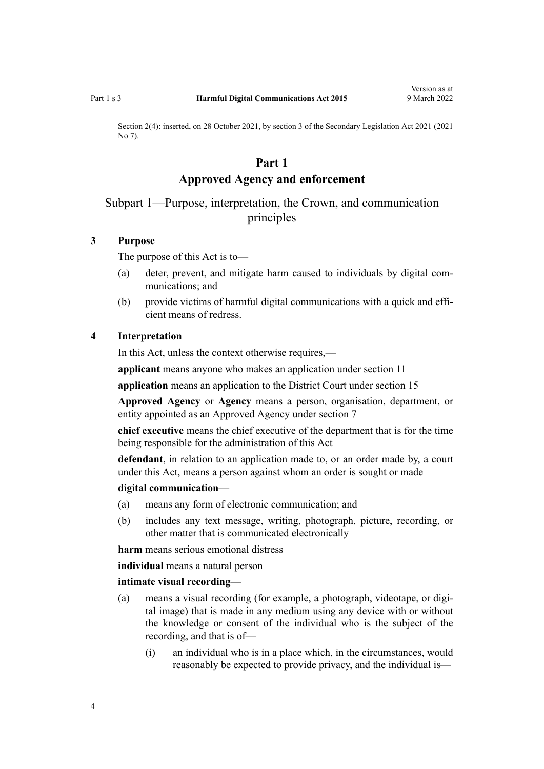<span id="page-3-0"></span>Section 2(4): inserted, on 28 October 2021, by [section 3](http://legislation.govt.nz/pdflink.aspx?id=LMS268932) of the Secondary Legislation Act 2021 (2021 No 7).

#### **Part 1**

#### **Approved Agency and enforcement**

# Subpart 1—Purpose, interpretation, the Crown, and communication principles

#### **3 Purpose**

The purpose of this Act is to—

- (a) deter, prevent, and mitigate harm caused to individuals by digital communications; and
- (b) provide victims of harmful digital communications with a quick and efficient means of redress.

#### **4 Interpretation**

In this Act, unless the context otherwise requires,—

**applicant** means anyone who makes an application under [section 11](#page-9-0)

**application** means an application to the District Court under [section 15](#page-11-0)

**Approved Agency** or **Agency** means a person, organisation, department, or entity appointed as an Approved Agency under [section 7](#page-6-0)

**chief executive** means the chief executive of the department that is for the time being responsible for the administration of this Act

**defendant**, in relation to an application made to, or an order made by, a court under this Act, means a person against whom an order is sought or made

#### **digital communication**—

- (a) means any form of electronic communication; and
- (b) includes any text message, writing, photograph, picture, recording, or other matter that is communicated electronically

**harm** means serious emotional distress

**individual** means a natural person

#### **intimate visual recording**—

- (a) means a visual recording (for example, a photograph, videotape, or digi‐ tal image) that is made in any medium using any device with or without the knowledge or consent of the individual who is the subject of the recording, and that is of—
	- (i) an individual who is in a place which, in the circumstances, would reasonably be expected to provide privacy, and the individual is—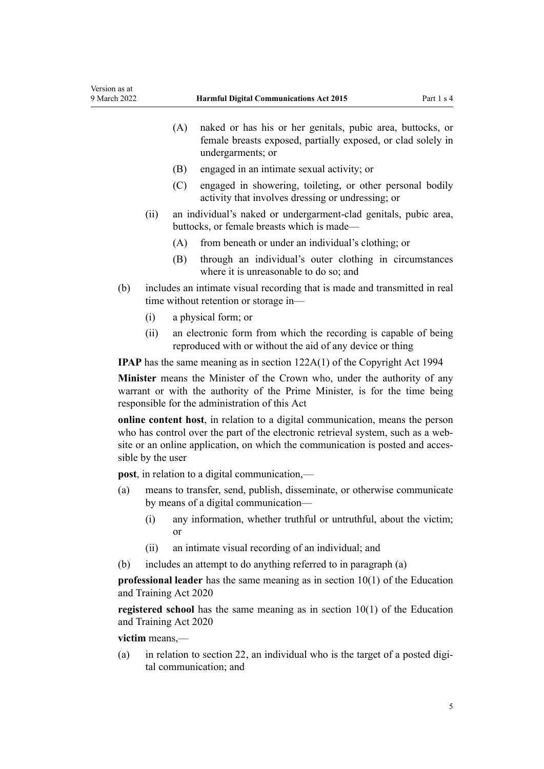- (A) naked or has his or her genitals, pubic area, buttocks, or female breasts exposed, partially exposed, or clad solely in undergarments; or
- (B) engaged in an intimate sexual activity; or
- (C) engaged in showering, toileting, or other personal bodily activity that involves dressing or undressing; or
- (ii) an individual's naked or undergarment-clad genitals, pubic area, buttocks, or female breasts which is made—
	- (A) from beneath or under an individual's clothing; or
	- (B) through an individual's outer clothing in circumstances where it is unreasonable to do so; and
- (b) includes an intimate visual recording that is made and transmitted in real time without retention or storage in—
	- (i) a physical form; or
	- (ii) an electronic form from which the recording is capable of being reproduced with or without the aid of any device or thing

**IPAP** has the same meaning as in [section 122A\(1\)](http://legislation.govt.nz/pdflink.aspx?id=DLM3976056) of the Copyright Act 1994

**Minister** means the Minister of the Crown who, under the authority of any warrant or with the authority of the Prime Minister, is for the time being responsible for the administration of this Act

**online content host**, in relation to a digital communication, means the person who has control over the part of the electronic retrieval system, such as a website or an online application, on which the communication is posted and accessible by the user

**post**, in relation to a digital communication,—

- (a) means to transfer, send, publish, disseminate, or otherwise communicate by means of a digital communication—
	- (i) any information, whether truthful or untruthful, about the victim; or
	- (ii) an intimate visual recording of an individual; and
- (b) includes an attempt to do anything referred to in paragraph (a)

**professional leader** has the same meaning as in [section 10\(1\)](http://legislation.govt.nz/pdflink.aspx?id=LMS171311) of the Education and Training Act 2020

**registered school** has the same meaning as in [section 10\(1\)](http://legislation.govt.nz/pdflink.aspx?id=LMS171311) of the Education and Training Act 2020

**victim** means,—

(a) in relation to [section 22](#page-14-0), an individual who is the target of a posted digital communication; and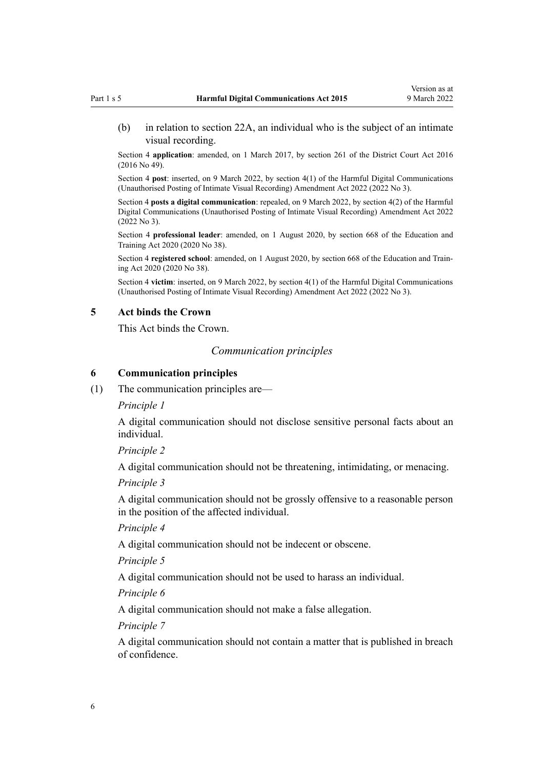<span id="page-5-0"></span>(b) in relation to [section 22A,](#page-15-0) an individual who is the subject of an intimate visual recording.

Section 4 **application**: amended, on 1 March 2017, by [section 261](http://legislation.govt.nz/pdflink.aspx?id=DLM6942680) of the District Court Act 2016 (2016 No 49).

Section 4 **post**: inserted, on 9 March 2022, by [section 4\(1\)](http://legislation.govt.nz/pdflink.aspx?id=LMS520028) of the Harmful Digital Communications (Unauthorised Posting of Intimate Visual Recording) Amendment Act 2022 (2022 No 3).

Section 4 **posts a digital communication**: repealed, on 9 March 2022, by [section 4\(2\)](http://legislation.govt.nz/pdflink.aspx?id=LMS520028) of the Harmful Digital Communications (Unauthorised Posting of Intimate Visual Recording) Amendment Act 2022 (2022 No 3).

Section 4 **professional leader**: amended, on 1 August 2020, by [section 668](http://legislation.govt.nz/pdflink.aspx?id=LMS367713) of the Education and Training Act 2020 (2020 No 38).

Section 4 **registered school**: amended, on 1 August 2020, by [section 668](http://legislation.govt.nz/pdflink.aspx?id=LMS367713) of the Education and Training Act 2020 (2020 No 38).

Section 4 **victim**: inserted, on 9 March 2022, by [section 4\(1\)](http://legislation.govt.nz/pdflink.aspx?id=LMS520028) of the Harmful Digital Communications (Unauthorised Posting of Intimate Visual Recording) Amendment Act 2022 (2022 No 3).

#### **5 Act binds the Crown**

This Act binds the Crown.

#### *Communication principles*

#### **6 Communication principles**

(1) The communication principles are—

*Principle 1*

A digital communication should not disclose sensitive personal facts about an individual.

*Principle 2*

A digital communication should not be threatening, intimidating, or menacing.

*Principle 3*

A digital communication should not be grossly offensive to a reasonable person in the position of the affected individual.

*Principle 4*

A digital communication should not be indecent or obscene.

*Principle 5*

A digital communication should not be used to harass an individual.

*Principle 6*

A digital communication should not make a false allegation.

*Principle 7*

A digital communication should not contain a matter that is published in breach of confidence.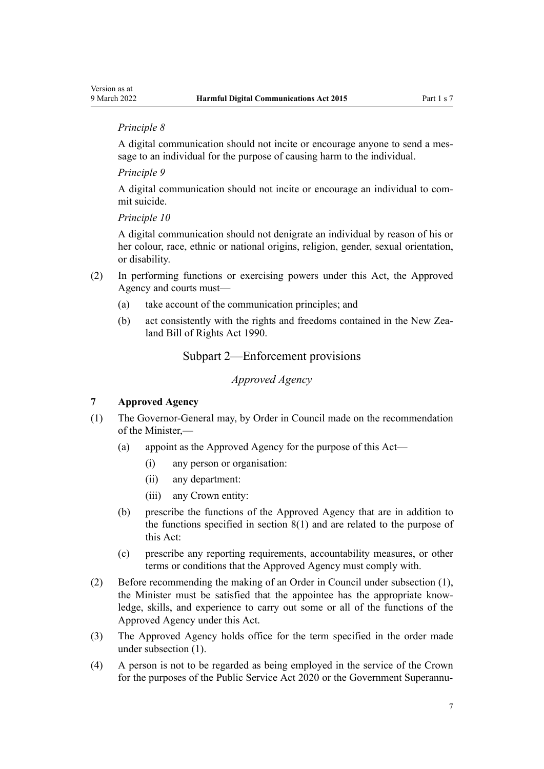#### <span id="page-6-0"></span>*Principle 8*

A digital communication should not incite or encourage anyone to send a mes‐ sage to an individual for the purpose of causing harm to the individual.

#### *Principle 9*

A digital communication should not incite or encourage an individual to com‐ mit suicide.

*Principle 10*

A digital communication should not denigrate an individual by reason of his or her colour, race, ethnic or national origins, religion, gender, sexual orientation, or disability.

- (2) In performing functions or exercising powers under this Act, the Approved Agency and courts must—
	- (a) take account of the communication principles; and
	- (b) act consistently with the rights and freedoms contained in the New Zea[land Bill of Rights Act 1990.](http://legislation.govt.nz/pdflink.aspx?id=DLM224791)

Subpart 2—Enforcement provisions

*Approved Agency*

#### **7 Approved Agency**

- (1) The Governor-General may, by Order in Council made on the recommendation of the Minister,—
	- (a) appoint as the Approved Agency for the purpose of this Act—
		- (i) any person or organisation:
		- (ii) any department:
		- (iii) any Crown entity:
	- (b) prescribe the functions of the Approved Agency that are in addition to the functions specified in section  $8(1)$  and are related to the purpose of this Act:
	- (c) prescribe any reporting requirements, accountability measures, or other terms or conditions that the Approved Agency must comply with.
- (2) Before recommending the making of an Order in Council under subsection (1), the Minister must be satisfied that the appointee has the appropriate know‐ ledge, skills, and experience to carry out some or all of the functions of the Approved Agency under this Act.
- (3) The Approved Agency holds office for the term specified in the order made under subsection (1).
- (4) A person is not to be regarded as being employed in the service of the Crown for the purposes of the [Public Service Act 2020](http://legislation.govt.nz/pdflink.aspx?id=LMS106157) or the Government Superannu-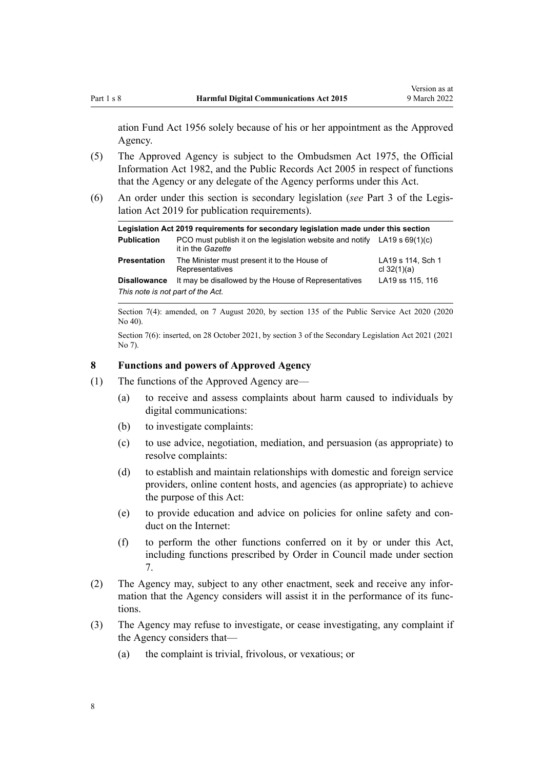<span id="page-7-0"></span>[ation Fund Act 1956](http://legislation.govt.nz/pdflink.aspx?id=DLM446000) solely because of his or her appointment as the Approved Agency.

- (5) The Approved Agency is subject to the [Ombudsmen Act 1975,](http://legislation.govt.nz/pdflink.aspx?id=DLM430983) the [Official](http://legislation.govt.nz/pdflink.aspx?id=DLM64784) [Information Act 1982](http://legislation.govt.nz/pdflink.aspx?id=DLM64784), and the [Public Records Act 2005](http://legislation.govt.nz/pdflink.aspx?id=DLM345528) in respect of functions that the Agency or any delegate of the Agency performs under this Act.
- (6) An order under this section is secondary legislation (*see* [Part 3](http://legislation.govt.nz/pdflink.aspx?id=DLM7298343) of the Legis‐ lation Act 2019 for publication requirements).

| Legislation Act 2019 requirements for secondary legislation made under this section |                                                                                                         |                                    |
|-------------------------------------------------------------------------------------|---------------------------------------------------------------------------------------------------------|------------------------------------|
| <b>Publication</b>                                                                  | PCO must publish it on the legislation website and notify LA19 s $69(1)(c)$<br>it in the <i>Gazette</i> |                                    |
| <b>Presentation</b>                                                                 | The Minister must present it to the House of<br>Representatives                                         | LA19 s 114, Sch 1<br>cl $32(1)(a)$ |
| <b>Disallowance</b>                                                                 | It may be disallowed by the House of Representatives                                                    | LA19 ss 115, 116                   |
| This note is not part of the Act.                                                   |                                                                                                         |                                    |

Section 7(4): amended, on 7 August 2020, by [section 135](http://legislation.govt.nz/pdflink.aspx?id=LMS176959) of the Public Service Act 2020 (2020 No 40).

Section 7(6): inserted, on 28 October 2021, by [section 3](http://legislation.govt.nz/pdflink.aspx?id=LMS268932) of the Secondary Legislation Act 2021 (2021 No 7).

#### **8 Functions and powers of Approved Agency**

- (1) The functions of the Approved Agency are—
	- (a) to receive and assess complaints about harm caused to individuals by digital communications:
	- (b) to investigate complaints:
	- (c) to use advice, negotiation, mediation, and persuasion (as appropriate) to resolve complaints:
	- (d) to establish and maintain relationships with domestic and foreign service providers, online content hosts, and agencies (as appropriate) to achieve the purpose of this Act:
	- (e) to provide education and advice on policies for online safety and con‐ duct on the Internet:
	- (f) to perform the other functions conferred on it by or under this Act, including functions prescribed by Order in Council made under [section](#page-6-0) [7.](#page-6-0)
- (2) The Agency may, subject to any other enactment, seek and receive any infor‐ mation that the Agency considers will assist it in the performance of its functions.
- (3) The Agency may refuse to investigate, or cease investigating, any complaint if the Agency considers that—
	- (a) the complaint is trivial, frivolous, or vexatious; or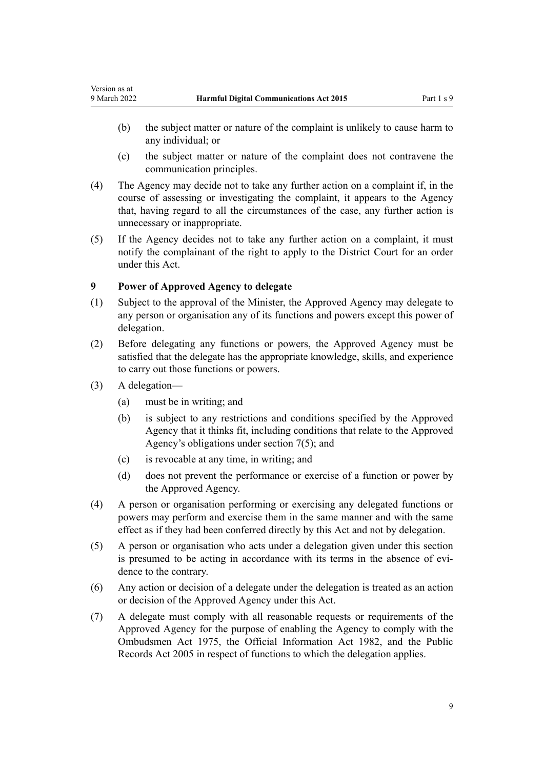- (b) the subject matter or nature of the complaint is unlikely to cause harm to any individual; or
- (c) the subject matter or nature of the complaint does not contravene the communication principles.
- (4) The Agency may decide not to take any further action on a complaint if, in the course of assessing or investigating the complaint, it appears to the Agency that, having regard to all the circumstances of the case, any further action is unnecessary or inappropriate.
- (5) If the Agency decides not to take any further action on a complaint, it must notify the complainant of the right to apply to the District Court for an order under this Act.

#### **9 Power of Approved Agency to delegate**

- (1) Subject to the approval of the Minister, the Approved Agency may delegate to any person or organisation any of its functions and powers except this power of delegation.
- (2) Before delegating any functions or powers, the Approved Agency must be satisfied that the delegate has the appropriate knowledge, skills, and experience to carry out those functions or powers.
- (3) A delegation—

<span id="page-8-0"></span>Version as at

- (a) must be in writing; and
- (b) is subject to any restrictions and conditions specified by the Approved Agency that it thinks fit, including conditions that relate to the Approved Agency's obligations under [section 7\(5\)](#page-6-0); and
- (c) is revocable at any time, in writing; and
- (d) does not prevent the performance or exercise of a function or power by the Approved Agency.
- (4) A person or organisation performing or exercising any delegated functions or powers may perform and exercise them in the same manner and with the same effect as if they had been conferred directly by this Act and not by delegation.
- (5) A person or organisation who acts under a delegation given under this section is presumed to be acting in accordance with its terms in the absence of evidence to the contrary.
- (6) Any action or decision of a delegate under the delegation is treated as an action or decision of the Approved Agency under this Act.
- (7) A delegate must comply with all reasonable requests or requirements of the Approved Agency for the purpose of enabling the Agency to comply with the [Ombudsmen Act 1975](http://legislation.govt.nz/pdflink.aspx?id=DLM430983), the [Official Information Act 1982,](http://legislation.govt.nz/pdflink.aspx?id=DLM64784) and the [Public](http://legislation.govt.nz/pdflink.aspx?id=DLM345528) [Records Act 2005](http://legislation.govt.nz/pdflink.aspx?id=DLM345528) in respect of functions to which the delegation applies.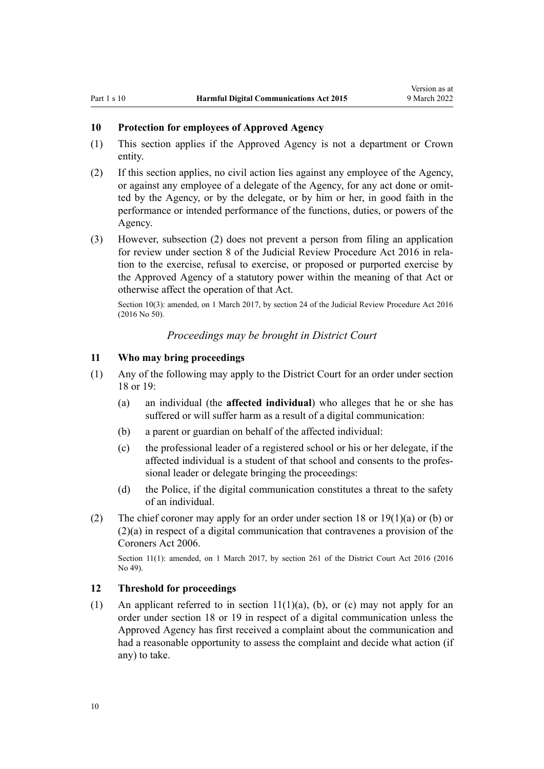#### <span id="page-9-0"></span>**10 Protection for employees of Approved Agency**

- (1) This section applies if the Approved Agency is not a department or Crown entity.
- (2) If this section applies, no civil action lies against any employee of the Agency, or against any employee of a delegate of the Agency, for any act done or omitted by the Agency, or by the delegate, or by him or her, in good faith in the performance or intended performance of the functions, duties, or powers of the Agency.
- (3) However, subsection (2) does not prevent a person from filing an application for review under [section 8](http://legislation.govt.nz/pdflink.aspx?id=DLM6942138) of the Judicial Review Procedure Act 2016 in relation to the exercise, refusal to exercise, or proposed or purported exercise by the Approved Agency of a statutory power within the meaning of that Act or otherwise affect the operation of that Act.

Section 10(3): amended, on 1 March 2017, by [section 24](http://legislation.govt.nz/pdflink.aspx?id=DLM6942157) of the Judicial Review Procedure Act 2016 (2016 No 50).

#### *Proceedings may be brought in District Court*

#### **11 Who may bring proceedings**

- (1) Any of the following may apply to the District Court for an order under [section](#page-12-0) [18](#page-12-0) or [19:](#page-12-0)
	- (a) an individual (the **affected individual**) who alleges that he or she has suffered or will suffer harm as a result of a digital communication:
	- (b) a parent or guardian on behalf of the affected individual:
	- (c) the professional leader of a registered school or his or her delegate, if the affected individual is a student of that school and consents to the profes‐ sional leader or delegate bringing the proceedings:
	- (d) the Police, if the digital communication constitutes a threat to the safety of an individual.
- (2) The chief coroner may apply for an order under [section 18](#page-12-0) or [19\(1\)\(a\) or \(b\) or](#page-12-0) [\(2\)\(a\)](#page-12-0) in respect of a digital communication that contravenes a provision of the [Coroners Act 2006.](http://legislation.govt.nz/pdflink.aspx?id=DLM377056)

Section 11(1): amended, on 1 March 2017, by [section 261](http://legislation.govt.nz/pdflink.aspx?id=DLM6942680) of the District Court Act 2016 (2016 No 49).

#### **12 Threshold for proceedings**

(1) An applicant referred to in section 11(1)(a), (b), or (c) may not apply for an order under [section 18](#page-12-0) or [19](#page-12-0) in respect of a digital communication unless the Approved Agency has first received a complaint about the communication and had a reasonable opportunity to assess the complaint and decide what action (if any) to take.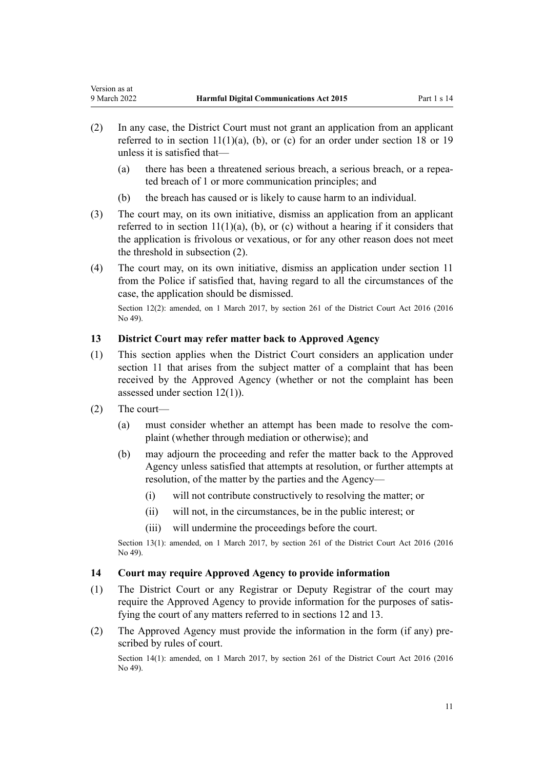- (2) In any case, the District Court must not grant an application from an applicant referred to in section  $11(1)(a)$ , (b), or (c) for an order under [section 18](#page-12-0) or [19](#page-12-0) unless it is satisfied that—
	- (a) there has been a threatened serious breach, a serious breach, or a repea‐ ted breach of 1 or more communication principles; and
	- (b) the breach has caused or is likely to cause harm to an individual.
- (3) The court may, on its own initiative, dismiss an application from an applicant referred to in section  $11(1)(a)$ , (b), or (c) without a hearing if it considers that the application is frivolous or vexatious, or for any other reason does not meet the threshold in subsection (2).
- (4) The court may, on its own initiative, dismiss an application under [section 11](#page-9-0) from the Police if satisfied that, having regard to all the circumstances of the case, the application should be dismissed.

Section 12(2): amended, on 1 March 2017, by [section 261](http://legislation.govt.nz/pdflink.aspx?id=DLM6942680) of the District Court Act 2016 (2016) No 49).

#### **13 District Court may refer matter back to Approved Agency**

- (1) This section applies when the District Court considers an application under [section 11](#page-9-0) that arises from the subject matter of a complaint that has been received by the Approved Agency (whether or not the complaint has been assessed under [section 12\(1\)](#page-9-0)).
- (2) The court—

<span id="page-10-0"></span>Version as at

- (a) must consider whether an attempt has been made to resolve the complaint (whether through mediation or otherwise); and
- (b) may adjourn the proceeding and refer the matter back to the Approved Agency unless satisfied that attempts at resolution, or further attempts at resolution, of the matter by the parties and the Agency—
	- (i) will not contribute constructively to resolving the matter; or
	- (ii) will not, in the circumstances, be in the public interest; or
	- (iii) will undermine the proceedings before the court.

Section 13(1): amended, on 1 March 2017, by [section 261](http://legislation.govt.nz/pdflink.aspx?id=DLM6942680) of the District Court Act 2016 (2016 No 49).

#### **14 Court may require Approved Agency to provide information**

- (1) The District Court or any Registrar or Deputy Registrar of the court may require the Approved Agency to provide information for the purposes of satisfying the court of any matters referred to in [sections 12](#page-9-0) and 13.
- (2) The Approved Agency must provide the information in the form (if any) pre‐ scribed by rules of court.

Section 14(1): amended, on 1 March 2017, by [section 261](http://legislation.govt.nz/pdflink.aspx?id=DLM6942680) of the District Court Act 2016 (2016) No 49).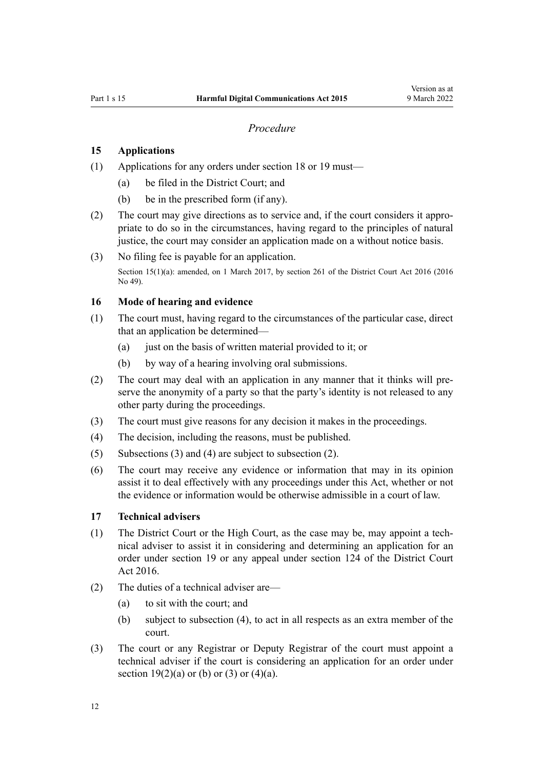#### *Procedure*

#### <span id="page-11-0"></span>**15 Applications**

- (1) Applications for any orders under [section 18](#page-12-0) or [19](#page-12-0) must—
	- (a) be filed in the District Court; and
	- (b) be in the prescribed form (if any).
- (2) The court may give directions as to service and, if the court considers it appro‐ priate to do so in the circumstances, having regard to the principles of natural justice, the court may consider an application made on a without notice basis.
- (3) No filing fee is payable for an application.

Section 15(1)(a): amended, on 1 March 2017, by [section 261](http://legislation.govt.nz/pdflink.aspx?id=DLM6942680) of the District Court Act 2016 (2016) No 49).

#### **16 Mode of hearing and evidence**

- (1) The court must, having regard to the circumstances of the particular case, direct that an application be determined—
	- (a) just on the basis of written material provided to it; or
	- (b) by way of a hearing involving oral submissions.
- (2) The court may deal with an application in any manner that it thinks will preserve the anonymity of a party so that the party's identity is not released to any other party during the proceedings.
- (3) The court must give reasons for any decision it makes in the proceedings.
- (4) The decision, including the reasons, must be published.
- (5) Subsections (3) and (4) are subject to subsection (2).
- (6) The court may receive any evidence or information that may in its opinion assist it to deal effectively with any proceedings under this Act, whether or not the evidence or information would be otherwise admissible in a court of law.

#### **17 Technical advisers**

- (1) The District Court or the High Court, as the case may be, may appoint a tech‐ nical adviser to assist it in considering and determining an application for an order under [section 19](#page-12-0) or any appeal under [section 124](http://legislation.govt.nz/pdflink.aspx?id=DLM6942447) of the District Court Act 2016.
- (2) The duties of a technical adviser are—
	- (a) to sit with the court; and
	- (b) subject to subsection (4), to act in all respects as an extra member of the court.
- (3) The court or any Registrar or Deputy Registrar of the court must appoint a technical adviser if the court is considering an application for an order under section  $19(2)(a)$  or (b) or (3) or (4)(a).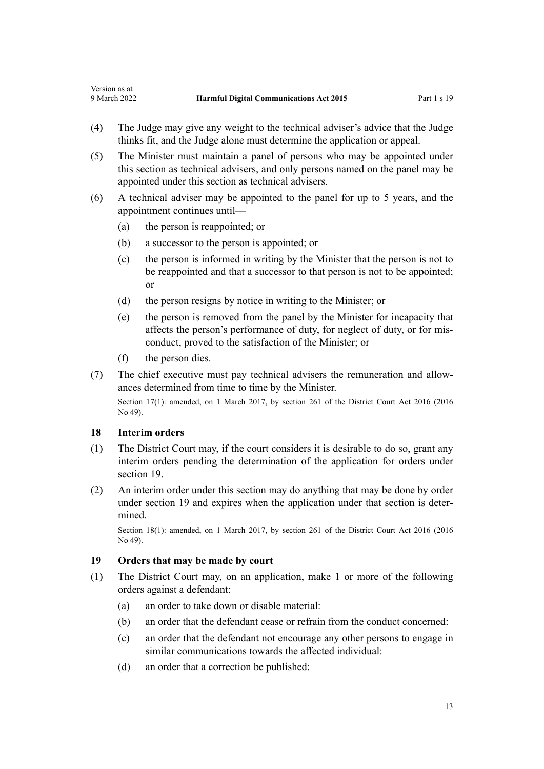- (4) The Judge may give any weight to the technical adviser's advice that the Judge thinks fit, and the Judge alone must determine the application or appeal.
- (5) The Minister must maintain a panel of persons who may be appointed under this section as technical advisers, and only persons named on the panel may be appointed under this section as technical advisers.
- (6) A technical adviser may be appointed to the panel for up to 5 years, and the appointment continues until—
	- (a) the person is reappointed; or
	- (b) a successor to the person is appointed; or
	- (c) the person is informed in writing by the Minister that the person is not to be reappointed and that a successor to that person is not to be appointed; or
	- (d) the person resigns by notice in writing to the Minister; or
	- (e) the person is removed from the panel by the Minister for incapacity that affects the person's performance of duty, for neglect of duty, or for mis‐ conduct, proved to the satisfaction of the Minister; or
	- (f) the person dies.

(7) The chief executive must pay technical advisers the remuneration and allow‐ ances determined from time to time by the Minister. Section 17(1): amended, on 1 March 2017, by [section 261](http://legislation.govt.nz/pdflink.aspx?id=DLM6942680) of the District Court Act 2016 (2016

No 49).

#### **18 Interim orders**

<span id="page-12-0"></span>Version as at

- (1) The District Court may, if the court considers it is desirable to do so, grant any interim orders pending the determination of the application for orders under section 19.
- (2) An interim order under this section may do anything that may be done by order under section 19 and expires when the application under that section is determined.

Section 18(1): amended, on 1 March 2017, by [section 261](http://legislation.govt.nz/pdflink.aspx?id=DLM6942680) of the District Court Act 2016 (2016 No 49).

#### **19 Orders that may be made by court**

- (1) The District Court may, on an application, make 1 or more of the following orders against a defendant:
	- (a) an order to take down or disable material:
	- (b) an order that the defendant cease or refrain from the conduct concerned:
	- (c) an order that the defendant not encourage any other persons to engage in similar communications towards the affected individual:
	- (d) an order that a correction be published: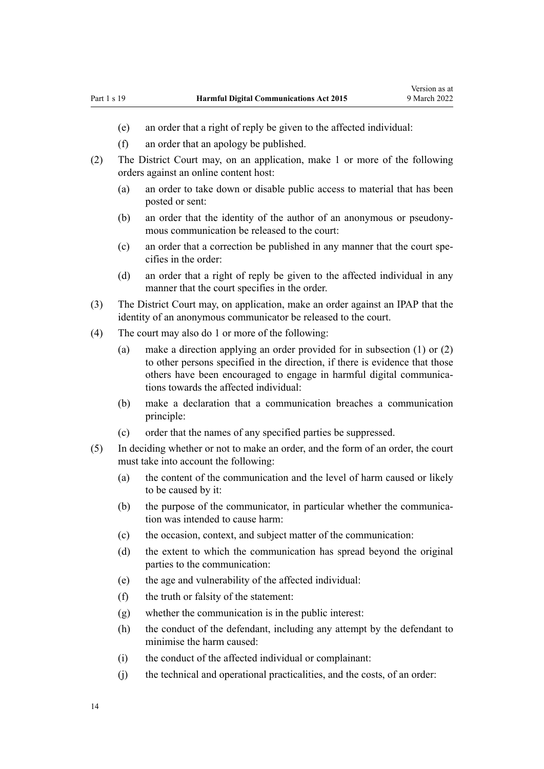- (e) an order that a right of reply be given to the affected individual:
- (f) an order that an apology be published.
- (2) The District Court may, on an application, make 1 or more of the following orders against an online content host:
	- (a) an order to take down or disable public access to material that has been posted or sent:
	- (b) an order that the identity of the author of an anonymous or pseudony‐ mous communication be released to the court:
	- (c) an order that a correction be published in any manner that the court spe‐ cifies in the order:
	- (d) an order that a right of reply be given to the affected individual in any manner that the court specifies in the order.
- (3) The District Court may, on application, make an order against an IPAP that the identity of an anonymous communicator be released to the court.
- (4) The court may also do 1 or more of the following:
	- (a) make a direction applying an order provided for in subsection (1) or (2) to other persons specified in the direction, if there is evidence that those others have been encouraged to engage in harmful digital communications towards the affected individual:
	- (b) make a declaration that a communication breaches a communication principle:
	- (c) order that the names of any specified parties be suppressed.
- (5) In deciding whether or not to make an order, and the form of an order, the court must take into account the following:
	- (a) the content of the communication and the level of harm caused or likely to be caused by it:
	- (b) the purpose of the communicator, in particular whether the communication was intended to cause harm:
	- (c) the occasion, context, and subject matter of the communication:
	- (d) the extent to which the communication has spread beyond the original parties to the communication:
	- (e) the age and vulnerability of the affected individual:
	- (f) the truth or falsity of the statement:
	- (g) whether the communication is in the public interest:
	- (h) the conduct of the defendant, including any attempt by the defendant to minimise the harm caused:
	- (i) the conduct of the affected individual or complainant:
	- (j) the technical and operational practicalities, and the costs, of an order: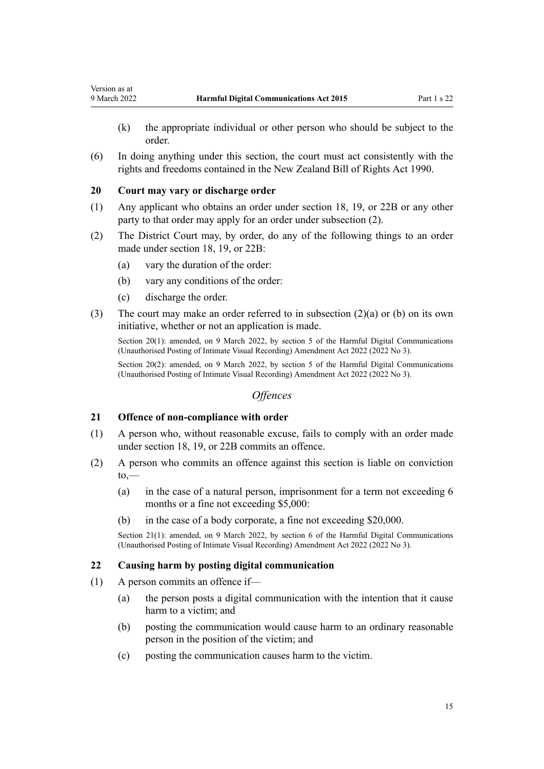- <span id="page-14-0"></span>(k) the appropriate individual or other person who should be subject to the order.
- (6) In doing anything under this section, the court must act consistently with the rights and freedoms contained in the [New Zealand Bill of Rights Act 1990](http://legislation.govt.nz/pdflink.aspx?id=DLM224791).

#### **20 Court may vary or discharge order**

- (1) Any applicant who obtains an order under section [18,](#page-12-0) [19,](#page-12-0) or [22B](#page-15-0) or any other party to that order may apply for an order under subsection (2).
- (2) The District Court may, by order, do any of the following things to an order made under section [18,](#page-12-0) [19](#page-12-0), or [22B:](#page-15-0)
	- (a) vary the duration of the order:
	- (b) vary any conditions of the order:
	- (c) discharge the order.
- (3) The court may make an order referred to in subsection (2)(a) or (b) on its own initiative, whether or not an application is made.

Section 20(1): amended, on 9 March 2022, by [section 5](http://legislation.govt.nz/pdflink.aspx?id=LMS529316) of the Harmful Digital Communications (Unauthorised Posting of Intimate Visual Recording) Amendment Act 2022 (2022 No 3).

Section 20(2): amended, on 9 March 2022, by [section 5](http://legislation.govt.nz/pdflink.aspx?id=LMS529316) of the Harmful Digital Communications (Unauthorised Posting of Intimate Visual Recording) Amendment Act 2022 (2022 No 3).

#### *Offences*

#### **21 Offence of non-compliance with order**

- (1) A person who, without reasonable excuse, fails to comply with an order made under section [18](#page-12-0), [19](#page-12-0), or [22B](#page-15-0) commits an offence.
- (2) A person who commits an offence against this section is liable on conviction  $to,$ 
	- (a) in the case of a natural person, imprisonment for a term not exceeding 6 months or a fine not exceeding \$5,000:
	- (b) in the case of a body corporate, a fine not exceeding \$20,000.

Section 21(1): amended, on 9 March 2022, by [section 6](http://legislation.govt.nz/pdflink.aspx?id=LMS529419) of the Harmful Digital Communications (Unauthorised Posting of Intimate Visual Recording) Amendment Act 2022 (2022 No 3).

#### **22 Causing harm by posting digital communication**

- (1) A person commits an offence if—
	- (a) the person posts a digital communication with the intention that it cause harm to a victim; and
	- (b) posting the communication would cause harm to an ordinary reasonable person in the position of the victim; and
	- (c) posting the communication causes harm to the victim.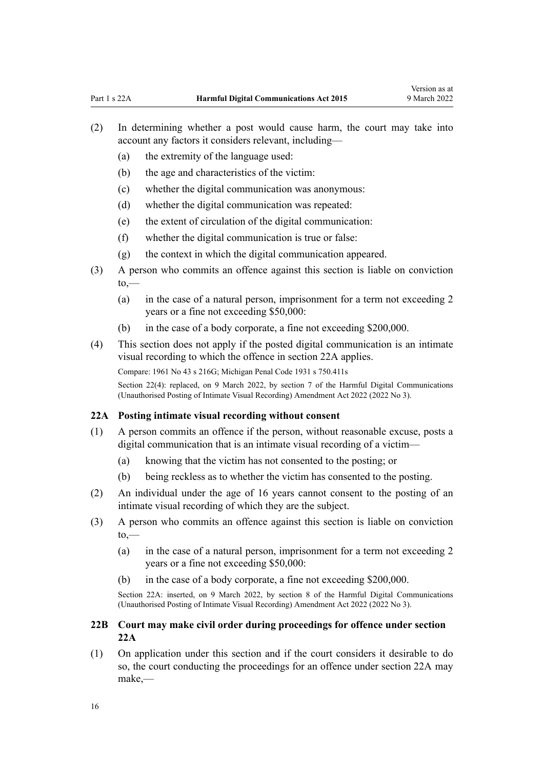- <span id="page-15-0"></span>(2) In determining whether a post would cause harm, the court may take into account any factors it considers relevant, including—
	- (a) the extremity of the language used:
	- (b) the age and characteristics of the victim:
	- (c) whether the digital communication was anonymous:
	- (d) whether the digital communication was repeated:
	- (e) the extent of circulation of the digital communication:
	- (f) whether the digital communication is true or false:
	- (g) the context in which the digital communication appeared.
- (3) A person who commits an offence against this section is liable on conviction  $to,$ —
	- (a) in the case of a natural person, imprisonment for a term not exceeding 2 years or a fine not exceeding \$50,000:
	- (b) in the case of a body corporate, a fine not exceeding \$200,000.
- (4) This section does not apply if the posted digital communication is an intimate visual recording to which the offence in section 22A applies.

Compare: 1961 No 43 [s 216G](http://legislation.govt.nz/pdflink.aspx?id=DLM329852); Michigan Penal Code 1931 s 750.411s

Section 22(4): replaced, on 9 March 2022, by [section 7](http://legislation.govt.nz/pdflink.aspx?id=LMS520181) of the Harmful Digital Communications (Unauthorised Posting of Intimate Visual Recording) Amendment Act 2022 (2022 No 3).

#### **22A Posting intimate visual recording without consent**

- (1) A person commits an offence if the person, without reasonable excuse, posts a digital communication that is an intimate visual recording of a victim—
	- (a) knowing that the victim has not consented to the posting; or
	- (b) being reckless as to whether the victim has consented to the posting.
- (2) An individual under the age of 16 years cannot consent to the posting of an intimate visual recording of which they are the subject.
- (3) A person who commits an offence against this section is liable on conviction  $to,$ 
	- (a) in the case of a natural person, imprisonment for a term not exceeding 2 years or a fine not exceeding \$50,000:
	- (b) in the case of a body corporate, a fine not exceeding \$200,000.

Section 22A: inserted, on 9 March 2022, by [section 8](http://legislation.govt.nz/pdflink.aspx?id=LMS368115) of the Harmful Digital Communications (Unauthorised Posting of Intimate Visual Recording) Amendment Act 2022 (2022 No 3).

#### **22B Court may make civil order during proceedings for offence under section 22A**

(1) On application under this section and if the court considers it desirable to do so, the court conducting the proceedings for an offence under section 22A may make,—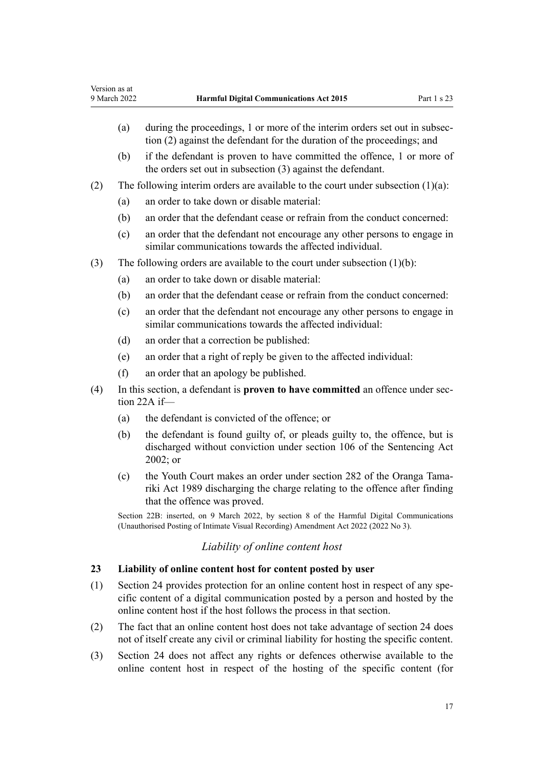- <span id="page-16-0"></span>(a) during the proceedings, 1 or more of the interim orders set out in subsec‐ tion (2) against the defendant for the duration of the proceedings; and
- (b) if the defendant is proven to have committed the offence, 1 or more of the orders set out in subsection (3) against the defendant.
- (2) The following interim orders are available to the court under subsection  $(1)(a)$ :
	- (a) an order to take down or disable material:
	- (b) an order that the defendant cease or refrain from the conduct concerned:
	- (c) an order that the defendant not encourage any other persons to engage in similar communications towards the affected individual.
- (3) The following orders are available to the court under subsection (1)(b):
	- (a) an order to take down or disable material:
	- (b) an order that the defendant cease or refrain from the conduct concerned:
	- (c) an order that the defendant not encourage any other persons to engage in similar communications towards the affected individual:
	- (d) an order that a correction be published:
	- (e) an order that a right of reply be given to the affected individual:
	- (f) an order that an apology be published.
- (4) In this section, a defendant is **proven to have committed** an offence under [sec‐](#page-15-0) [tion 22A](#page-15-0) if—
	- (a) the defendant is convicted of the offence; or
	- (b) the defendant is found guilty of, or pleads guilty to, the offence, but is discharged without conviction under [section 106](http://legislation.govt.nz/pdflink.aspx?id=DLM136807) of the Sentencing Act 2002; or
	- (c) the Youth Court makes an order under [section 282](http://legislation.govt.nz/pdflink.aspx?id=DLM153435) of the Oranga Tamariki Act 1989 discharging the charge relating to the offence after finding that the offence was proved.

Section 22B: inserted, on 9 March 2022, by [section 8](http://legislation.govt.nz/pdflink.aspx?id=LMS368115) of the Harmful Digital Communications (Unauthorised Posting of Intimate Visual Recording) Amendment Act 2022 (2022 No 3).

#### *Liability of online content host*

#### **23 Liability of online content host for content posted by user**

- (1) [Section 24](#page-17-0) provides protection for an online content host in respect of any spe‐ cific content of a digital communication posted by a person and hosted by the online content host if the host follows the process in that section.
- (2) The fact that an online content host does not take advantage of [section 24](#page-17-0) does not of itself create any civil or criminal liability for hosting the specific content.
- (3) [Section 24](#page-17-0) does not affect any rights or defences otherwise available to the online content host in respect of the hosting of the specific content (for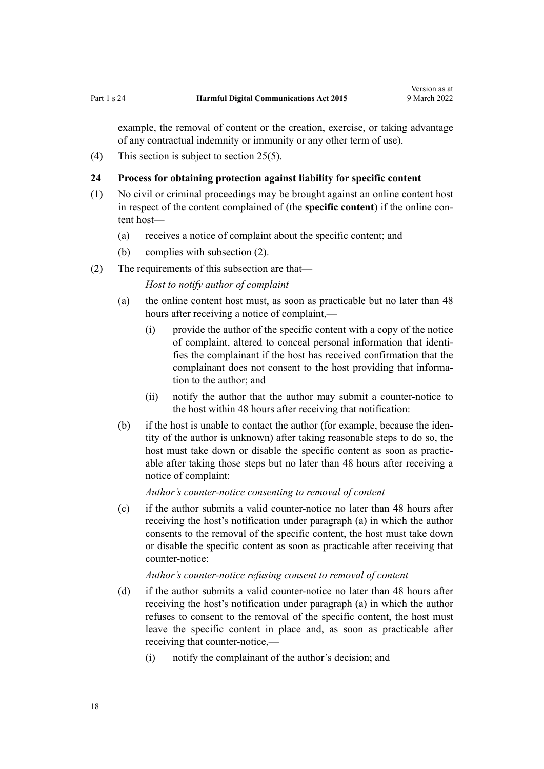<span id="page-17-0"></span>example, the removal of content or the creation, exercise, or taking advantage of any contractual indemnity or immunity or any other term of use).

(4) This section is subject to [section 25\(5\)](#page-19-0).

#### **24 Process for obtaining protection against liability for specific content**

- (1) No civil or criminal proceedings may be brought against an online content host in respect of the content complained of (the **specific content**) if the online content host—
	- (a) receives a notice of complaint about the specific content; and
	- (b) complies with subsection (2).
- (2) The requirements of this subsection are that—

*Host to notify author of complaint*

- (a) the online content host must, as soon as practicable but no later than 48 hours after receiving a notice of complaint,—
	- (i) provide the author of the specific content with a copy of the notice of complaint, altered to conceal personal information that identi‐ fies the complainant if the host has received confirmation that the complainant does not consent to the host providing that information to the author; and
	- (ii) notify the author that the author may submit a counter-notice to the host within 48 hours after receiving that notification:
- (b) if the host is unable to contact the author (for example, because the iden‐ tity of the author is unknown) after taking reasonable steps to do so, the host must take down or disable the specific content as soon as practicable after taking those steps but no later than 48 hours after receiving a notice of complaint:

*Author's counter-notice consenting to removal of content*

(c) if the author submits a valid counter-notice no later than 48 hours after receiving the host's notification under paragraph (a) in which the author consents to the removal of the specific content, the host must take down or disable the specific content as soon as practicable after receiving that counter-notice:

*Author's counter-notice refusing consent to removal of content*

- (d) if the author submits a valid counter-notice no later than 48 hours after receiving the host's notification under paragraph (a) in which the author refuses to consent to the removal of the specific content, the host must leave the specific content in place and, as soon as practicable after receiving that counter-notice,—
	- (i) notify the complainant of the author's decision; and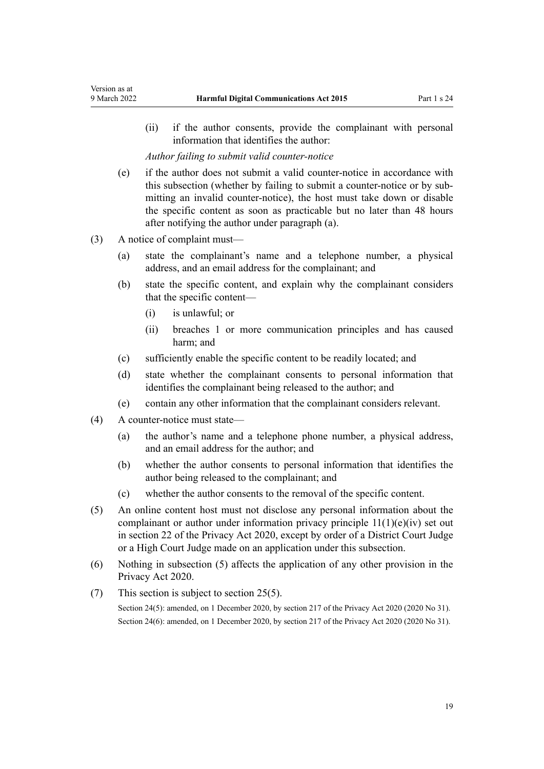(ii) if the author consents, provide the complainant with personal information that identifies the author:

*Author failing to submit valid counter-notice*

- (e) if the author does not submit a valid counter-notice in accordance with this subsection (whether by failing to submit a counter-notice or by sub‐ mitting an invalid counter-notice), the host must take down or disable the specific content as soon as practicable but no later than 48 hours after notifying the author under paragraph (a).
- (3) A notice of complaint must—
	- (a) state the complainant's name and a telephone number, a physical address, and an email address for the complainant; and
	- (b) state the specific content, and explain why the complainant considers that the specific content—
		- (i) is unlawful; or
		- (ii) breaches 1 or more communication principles and has caused harm; and
	- (c) sufficiently enable the specific content to be readily located; and
	- (d) state whether the complainant consents to personal information that identifies the complainant being released to the author; and
	- (e) contain any other information that the complainant considers relevant.
- (4) A counter-notice must state—
	- (a) the author's name and a telephone phone number, a physical address, and an email address for the author; and
	- (b) whether the author consents to personal information that identifies the author being released to the complainant; and
	- (c) whether the author consents to the removal of the specific content.
- (5) An online content host must not disclose any personal information about the complainant or author under information privacy principle  $11(1)(e)(iv)$  set out in [section 22](http://legislation.govt.nz/pdflink.aspx?id=LMS23342) of the Privacy Act 2020, except by order of a District Court Judge or a High Court Judge made on an application under this subsection.
- (6) Nothing in subsection (5) affects the application of any other provision in the [Privacy Act 2020.](http://legislation.govt.nz/pdflink.aspx?id=LMS23193)
- (7) This section is subject to [section 25\(5\)](#page-19-0). Section 24(5): amended, on 1 December 2020, by [section 217](http://legislation.govt.nz/pdflink.aspx?id=LMS23706) of the Privacy Act 2020 (2020 No 31). Section 24(6): amended, on 1 December 2020, by [section 217](http://legislation.govt.nz/pdflink.aspx?id=LMS23706) of the Privacy Act 2020 (2020 No 31).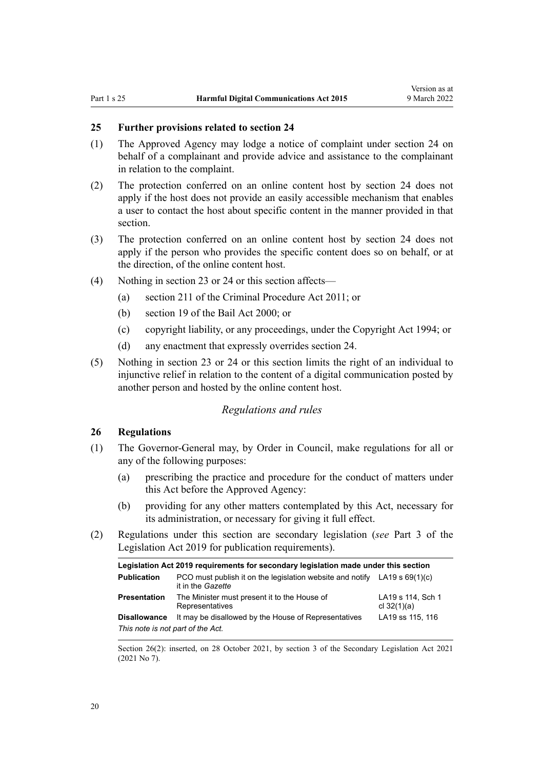#### <span id="page-19-0"></span>**25 Further provisions related to section 24**

- (1) The Approved Agency may lodge a notice of complaint under [section 24](#page-17-0) on behalf of a complainant and provide advice and assistance to the complainant in relation to the complaint.
- (2) The protection conferred on an online content host by [section 24](#page-17-0) does not apply if the host does not provide an easily accessible mechanism that enables a user to contact the host about specific content in the manner provided in that section.
- (3) The protection conferred on an online content host by [section 24](#page-17-0) does not apply if the person who provides the specific content does so on behalf, or at the direction, of the online content host.
- (4) Nothing in [section 23](#page-16-0) or [24](#page-17-0) or this section affects—
	- (a) [section 211](http://legislation.govt.nz/pdflink.aspx?id=DLM3865769) of the Criminal Procedure Act 2011; or
	- (b) [section 19](http://legislation.govt.nz/pdflink.aspx?id=DLM68927) of the Bail Act 2000; or
	- (c) copyright liability, or any proceedings, under the [Copyright Act 1994](http://legislation.govt.nz/pdflink.aspx?id=DLM345633); or
	- (d) any enactment that expressly overrides [section 24.](#page-17-0)
- (5) Nothing in [section 23](#page-16-0) or [24](#page-17-0) or this section limits the right of an individual to injunctive relief in relation to the content of a digital communication posted by another person and hosted by the online content host.

#### *Regulations and rules*

#### **26 Regulations**

- (1) The Governor-General may, by Order in Council, make regulations for all or any of the following purposes:
	- (a) prescribing the practice and procedure for the conduct of matters under this Act before the Approved Agency:
	- (b) providing for any other matters contemplated by this Act, necessary for its administration, or necessary for giving it full effect.
- (2) Regulations under this section are secondary legislation (*see* [Part 3](http://legislation.govt.nz/pdflink.aspx?id=DLM7298343) of the Legislation Act 2019 for publication requirements).

| Legislation Act 2019 requirements for secondary legislation made under this section |                                                                                                  |                                    |
|-------------------------------------------------------------------------------------|--------------------------------------------------------------------------------------------------|------------------------------------|
| <b>Publication</b>                                                                  | PCO must publish it on the legislation website and notify LA19 s $69(1)(c)$<br>it in the Gazette |                                    |
| <b>Presentation</b>                                                                 | The Minister must present it to the House of<br>Representatives                                  | LA19 s 114, Sch 1<br>cl $32(1)(a)$ |
| <b>Disallowance</b>                                                                 | It may be disallowed by the House of Representatives                                             | LA19 ss 115, 116                   |
| This note is not part of the Act.                                                   |                                                                                                  |                                    |

Section 26(2): inserted, on 28 October 2021, by [section 3](http://legislation.govt.nz/pdflink.aspx?id=LMS268932) of the Secondary Legislation Act 2021 (2021 No 7).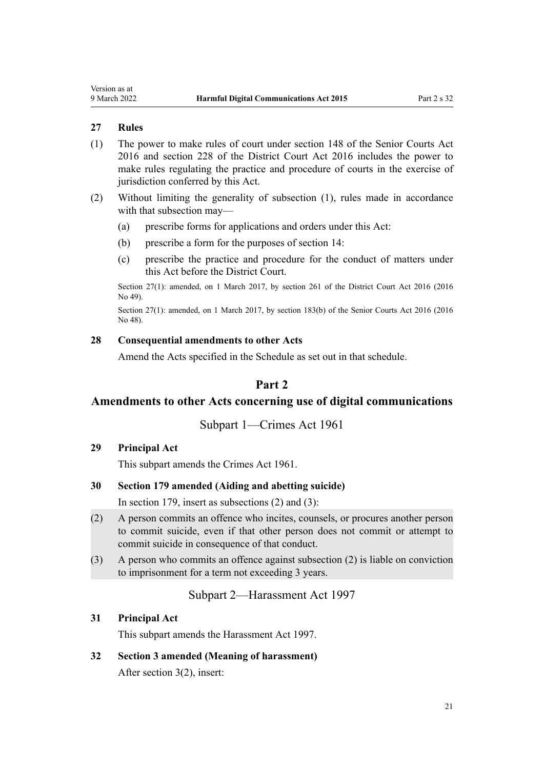#### <span id="page-20-0"></span>**27 Rules**

- (1) The power to make rules of court under [section 148](http://legislation.govt.nz/pdflink.aspx?id=DLM5759504) of the Senior Courts Act 2016 and [section 228](http://legislation.govt.nz/pdflink.aspx?id=DLM6942629) of the District Court Act 2016 includes the power to make rules regulating the practice and procedure of courts in the exercise of jurisdiction conferred by this Act.
- (2) Without limiting the generality of subsection (1), rules made in accordance with that subsection may—
	- (a) prescribe forms for applications and orders under this Act:
	- (b) prescribe a form for the purposes of [section 14:](#page-10-0)
	- (c) prescribe the practice and procedure for the conduct of matters under this Act before the District Court.

Section 27(1): amended, on 1 March 2017, by [section 261](http://legislation.govt.nz/pdflink.aspx?id=DLM6942680) of the District Court Act 2016 (2016) No 49).

Section 27(1): amended, on 1 March 2017, by [section 183\(b\)](http://legislation.govt.nz/pdflink.aspx?id=DLM5759564) of the Senior Courts Act 2016 (2016 No 48).

#### **28 Consequential amendments to other Acts**

Amend the Acts specified in the [Schedule](#page-23-0) as set out in that schedule.

### **Part 2**

#### **Amendments to other Acts concerning use of digital communications**

#### Subpart 1—Crimes Act 1961

### **29 Principal Act**

This subpart amends the [Crimes Act 1961.](http://legislation.govt.nz/pdflink.aspx?id=DLM327381)

#### **30 Section 179 amended (Aiding and abetting suicide)**

In [section 179](http://legislation.govt.nz/pdflink.aspx?id=DLM329347), insert as subsections (2) and (3):

- (2) A person commits an offence who incites, counsels, or procures another person to commit suicide, even if that other person does not commit or attempt to commit suicide in consequence of that conduct.
- (3) A person who commits an offence against subsection (2) is liable on conviction to imprisonment for a term not exceeding 3 years.

Subpart 2—Harassment Act 1997

#### **31 Principal Act**

This subpart amends the [Harassment Act 1997.](http://legislation.govt.nz/pdflink.aspx?id=DLM417077)

**32 Section 3 amended (Meaning of harassment)**

After [section 3\(2\),](http://legislation.govt.nz/pdflink.aspx?id=DLM417725) insert: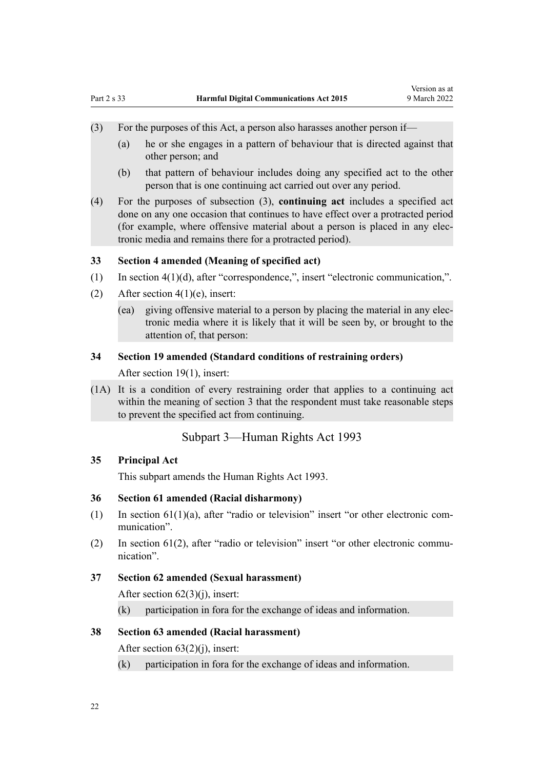- <span id="page-21-0"></span>(3) For the purposes of this Act, a person also harasses another person if—
	- (a) he or she engages in a pattern of behaviour that is directed against that other person; and
	- (b) that pattern of behaviour includes doing any specified act to the other person that is one continuing act carried out over any period.
- (4) For the purposes of subsection (3), **continuing act** includes a specified act done on any one occasion that continues to have effect over a protracted period (for example, where offensive material about a person is placed in any elec‐ tronic media and remains there for a protracted period).

#### **33 Section 4 amended (Meaning of specified act)**

- (1) In [section 4\(1\)\(d\),](http://legislation.govt.nz/pdflink.aspx?id=DLM417726) after "correspondence,", insert "electronic communication,".
- (2) After [section 4\(1\)\(e\),](http://legislation.govt.nz/pdflink.aspx?id=DLM417726) insert:
	- (ea) giving offensive material to a person by placing the material in any elec‐ tronic media where it is likely that it will be seen by, or brought to the attention of, that person:

#### **34 Section 19 amended (Standard conditions of restraining orders)**

After [section 19\(1\),](http://legislation.govt.nz/pdflink.aspx?id=DLM417757) insert:

(1A) It is a condition of every restraining order that applies to a continuing act within the meaning of section 3 that the respondent must take reasonable steps to prevent the specified act from continuing.

# Subpart 3—Human Rights Act 1993

#### **35 Principal Act**

This subpart amends the [Human Rights Act 1993](http://legislation.govt.nz/pdflink.aspx?id=DLM304211).

#### **36 Section 61 amended (Racial disharmony)**

- (1) In section  $61(1)(a)$ , after "radio or television" insert "or other electronic communication".
- (2) In section  $61(2)$ , after "radio or television" insert "or other electronic communication".

#### **37 Section 62 amended (Sexual harassment)**

After [section 62\(3\)\(j\),](http://legislation.govt.nz/pdflink.aspx?id=DLM304651) insert:

(k) participation in fora for the exchange of ideas and information.

#### **38 Section 63 amended (Racial harassment)**

After [section 63\(2\)\(j\),](http://legislation.govt.nz/pdflink.aspx?id=DLM304652) insert:

(k) participation in fora for the exchange of ideas and information.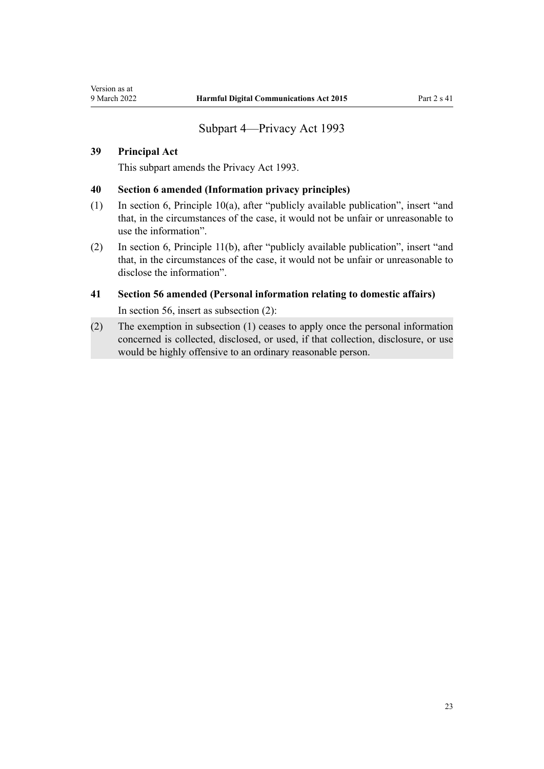## Subpart 4—Privacy Act 1993

#### <span id="page-22-0"></span>**39 Principal Act**

This subpart amends the [Privacy Act 1993.](http://legislation.govt.nz/pdflink.aspx?id=DLM296638)

#### **40 Section 6 amended (Information privacy principles)**

- (1) In [section 6](http://legislation.govt.nz/pdflink.aspx?id=DLM297038), Principle 10(a), after "publicly available publication", insert "and that, in the circumstances of the case, it would not be unfair or unreasonable to use the information".
- (2) In [section 6](http://legislation.govt.nz/pdflink.aspx?id=DLM297038), Principle 11(b), after "publicly available publication", insert "and that, in the circumstances of the case, it would not be unfair or unreasonable to disclose the information".

# **41 Section 56 amended (Personal information relating to domestic affairs)** In [section 56,](http://legislation.govt.nz/pdflink.aspx?id=DLM297421) insert as subsection (2):

(2) The exemption in subsection (1) ceases to apply once the personal information concerned is collected, disclosed, or used, if that collection, disclosure, or use would be highly offensive to an ordinary reasonable person.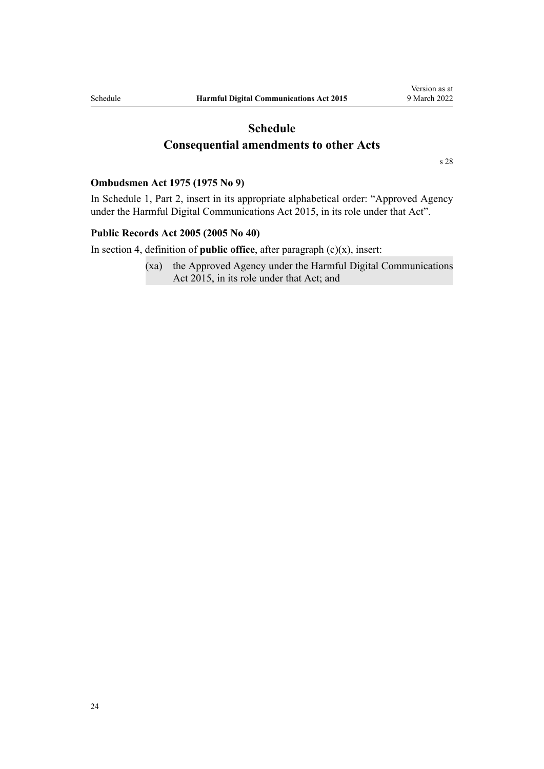# **Schedule Consequential amendments to other Acts**

[s 28](#page-20-0)

#### <span id="page-23-0"></span>**Ombudsmen Act 1975 (1975 No 9)**

In Schedule 1, [Part 2,](http://legislation.govt.nz/pdflink.aspx?id=DLM431296) insert in its appropriate alphabetical order: "Approved Agency under the Harmful Digital Communications Act 2015, in its role under that Act".

#### **Public Records Act 2005 (2005 No 40)**

In [section 4,](http://legislation.govt.nz/pdflink.aspx?id=DLM345537) definition of **public office**, after paragraph (c)(x), insert:

(xa) the Approved Agency under the Harmful Digital Communications Act 2015, in its role under that Act; and